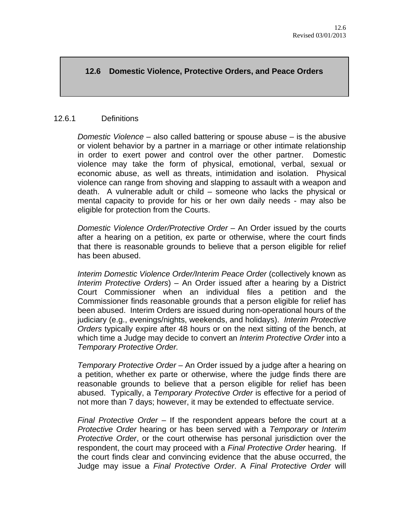# **12.6 Domestic Violence, Protective Orders, and Peace Orders**

#### 12.6.1 Definitions

*Domestic Violence* – also called battering or spouse abuse – is the abusive or violent behavior by a partner in a marriage or other intimate relationship in order to exert power and control over the other partner. Domestic violence may take the form of physical, emotional, verbal, sexual or economic abuse, as well as threats, intimidation and isolation. Physical violence can range from shoving and slapping to assault with a weapon and death. A vulnerable adult or child – someone who lacks the physical or mental capacity to provide for his or her own daily needs - may also be eligible for protection from the Courts.

*Domestic Violence Order/Protective Order* – An Order issued by the courts after a hearing on a petition, ex parte or otherwise, where the court finds that there is reasonable grounds to believe that a person eligible for relief has been abused.

*Interim Domestic Violence Order/Interim Peace Order* (collectively known as *Interim Protective Orders*) – An Order issued after a hearing by a District Court Commissioner when an individual files a petition and the Commissioner finds reasonable grounds that a person eligible for relief has been abused. Interim Orders are issued during non-operational hours of the judiciary (e.g., evenings/nights, weekends, and holidays). *Interim Protective Orders* typically expire after 48 hours or on the next sitting of the bench, at which time a Judge may decide to convert an *Interim Protective Order* into a *Temporary Protective Order.* 

*Temporary Protective Order* – An Order issued by a judge after a hearing on a petition, whether ex parte or otherwise, where the judge finds there are reasonable grounds to believe that a person eligible for relief has been abused. Typically, a *Temporary Protective Order* is effective for a period of not more than 7 days; however, it may be extended to effectuate service.

*Final Protective Order* – If the respondent appears before the court at a *Protective Order* hearing or has been served with a *Temporary* or *Interim Protective Order*, or the court otherwise has personal jurisdiction over the respondent, the court may proceed with a *Final Protective Order* hearing. If the court finds clear and convincing evidence that the abuse occurred, the Judge may issue a *Final Protective Order*. A *Final Protective Order* will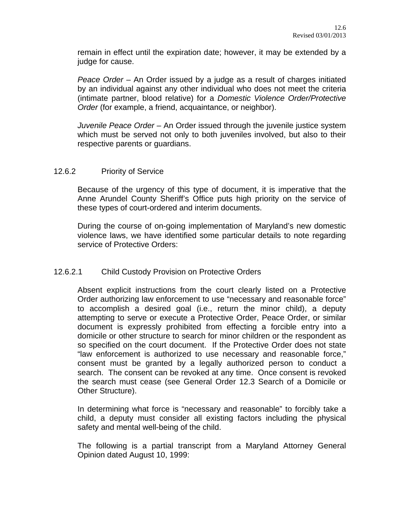remain in effect until the expiration date; however, it may be extended by a judge for cause.

*Peace Order* – An Order issued by a judge as a result of charges initiated by an individual against any other individual who does not meet the criteria (intimate partner, blood relative) for a *Domestic Violence Order/Protective Order* (for example, a friend, acquaintance, or neighbor).

*Juvenile Peace Order* – An Order issued through the juvenile justice system which must be served not only to both juveniles involved, but also to their respective parents or guardians.

## 12.6.2 Priority of Service

Because of the urgency of this type of document, it is imperative that the Anne Arundel County Sheriff's Office puts high priority on the service of these types of court-ordered and interim documents.

During the course of on-going implementation of Maryland's new domestic violence laws, we have identified some particular details to note regarding service of Protective Orders:

# 12.6.2.1 Child Custody Provision on Protective Orders

Absent explicit instructions from the court clearly listed on a Protective Order authorizing law enforcement to use "necessary and reasonable force" to accomplish a desired goal (i.e., return the minor child), a deputy attempting to serve or execute a Protective Order, Peace Order, or similar document is expressly prohibited from effecting a forcible entry into a domicile or other structure to search for minor children or the respondent as so specified on the court document. If the Protective Order does not state "law enforcement is authorized to use necessary and reasonable force," consent must be granted by a legally authorized person to conduct a search. The consent can be revoked at any time. Once consent is revoked the search must cease (see General Order 12.3 Search of a Domicile or Other Structure).

In determining what force is "necessary and reasonable" to forcibly take a child, a deputy must consider all existing factors including the physical safety and mental well-being of the child.

The following is a partial transcript from a Maryland Attorney General Opinion dated August 10, 1999: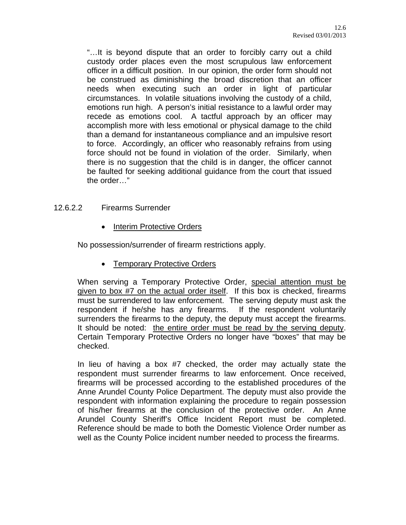"…It is beyond dispute that an order to forcibly carry out a child custody order places even the most scrupulous law enforcement officer in a difficult position. In our opinion, the order form should not be construed as diminishing the broad discretion that an officer needs when executing such an order in light of particular circumstances. In volatile situations involving the custody of a child, emotions run high. A person's initial resistance to a lawful order may recede as emotions cool. A tactful approach by an officer may accomplish more with less emotional or physical damage to the child than a demand for instantaneous compliance and an impulsive resort to force. Accordingly, an officer who reasonably refrains from using force should not be found in violation of the order. Similarly, when there is no suggestion that the child is in danger, the officer cannot be faulted for seeking additional guidance from the court that issued the order…"

## 12.6.2.2 Firearms Surrender

Interim Protective Orders

No possession/surrender of firearm restrictions apply.

• Temporary Protective Orders

When serving a Temporary Protective Order, special attention must be given to box #7 on the actual order itself. If this box is checked, firearms must be surrendered to law enforcement. The serving deputy must ask the respondent if he/she has any firearms. If the respondent voluntarily surrenders the firearms to the deputy, the deputy must accept the firearms. It should be noted: the entire order must be read by the serving deputy. Certain Temporary Protective Orders no longer have "boxes" that may be checked.

In lieu of having a box #7 checked, the order may actually state the respondent must surrender firearms to law enforcement. Once received, firearms will be processed according to the established procedures of the Anne Arundel County Police Department. The deputy must also provide the respondent with information explaining the procedure to regain possession of his/her firearms at the conclusion of the protective order. An Anne Arundel County Sheriff's Office Incident Report must be completed. Reference should be made to both the Domestic Violence Order number as well as the County Police incident number needed to process the firearms.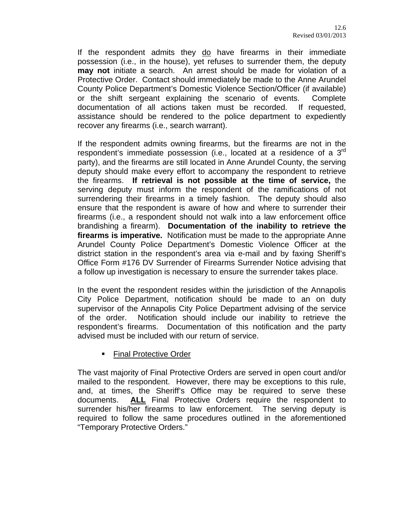If the respondent admits they do have firearms in their immediate possession (i.e., in the house), yet refuses to surrender them, the deputy **may not** initiate a search. An arrest should be made for violation of a Protective Order. Contact should immediately be made to the Anne Arundel County Police Department's Domestic Violence Section/Officer (if available) or the shift sergeant explaining the scenario of events. Complete documentation of all actions taken must be recorded. If requested, assistance should be rendered to the police department to expediently recover any firearms (i.e., search warrant).

If the respondent admits owning firearms, but the firearms are not in the respondent's immediate possession (i.e., located at a residence of a 3rd party), and the firearms are still located in Anne Arundel County, the serving deputy should make every effort to accompany the respondent to retrieve the firearms. **If retrieval is not possible at the time of service,** the serving deputy must inform the respondent of the ramifications of not surrendering their firearms in a timely fashion. The deputy should also ensure that the respondent is aware of how and where to surrender their firearms (i.e., a respondent should not walk into a law enforcement office brandishing a firearm). **Documentation of the inability to retrieve the firearms is imperative.** Notification must be made to the appropriate Anne Arundel County Police Department's Domestic Violence Officer at the district station in the respondent's area via e-mail and by faxing Sheriff's Office Form #176 DV Surrender of Firearms Surrender Notice advising that a follow up investigation is necessary to ensure the surrender takes place.

In the event the respondent resides within the jurisdiction of the Annapolis City Police Department, notification should be made to an on duty supervisor of the Annapolis City Police Department advising of the service of the order. Notification should include our inability to retrieve the respondent's firearms. Documentation of this notification and the party advised must be included with our return of service.

**Final Protective Order** 

The vast majority of Final Protective Orders are served in open court and/or mailed to the respondent. However, there may be exceptions to this rule, and, at times, the Sheriff's Office may be required to serve these documents. **ALL** Final Protective Orders require the respondent to surrender his/her firearms to law enforcement. The serving deputy is required to follow the same procedures outlined in the aforementioned "Temporary Protective Orders."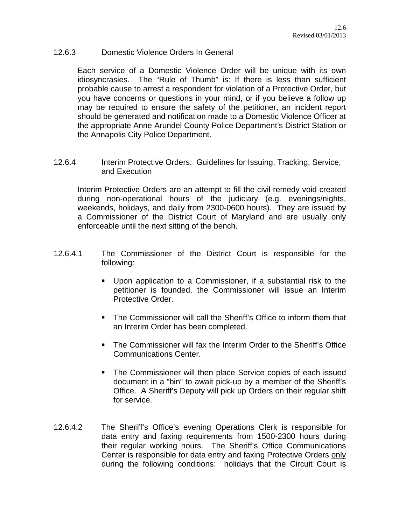## 12.6.3 Domestic Violence Orders In General

Each service of a Domestic Violence Order will be unique with its own idiosyncrasies. The "Rule of Thumb" is: If there is less than sufficient probable cause to arrest a respondent for violation of a Protective Order, but you have concerns or questions in your mind, or if you believe a follow up may be required to ensure the safety of the petitioner, an incident report should be generated and notification made to a Domestic Violence Officer at the appropriate Anne Arundel County Police Department's District Station or the Annapolis City Police Department.

12.6.4 Interim Protective Orders: Guidelines for Issuing, Tracking, Service, and Execution

Interim Protective Orders are an attempt to fill the civil remedy void created during non-operational hours of the judiciary (e.g. evenings/nights, weekends, holidays, and daily from 2300-0600 hours). They are issued by a Commissioner of the District Court of Maryland and are usually only enforceable until the next sitting of the bench.

- 12.6.4.1 The Commissioner of the District Court is responsible for the following:
	- Upon application to a Commissioner, if a substantial risk to the petitioner is founded, the Commissioner will issue an Interim Protective Order.
	- **The Commissioner will call the Sheriff's Office to inform them that** an Interim Order has been completed.
	- **The Commissioner will fax the Interim Order to the Sheriff's Office** Communications Center.
	- The Commissioner will then place Service copies of each issued document in a "bin" to await pick-up by a member of the Sheriff's Office. A Sheriff's Deputy will pick up Orders on their regular shift for service.
- 12.6.4.2 The Sheriff's Office's evening Operations Clerk is responsible for data entry and faxing requirements from 1500-2300 hours during their regular working hours. The Sheriff's Office Communications Center is responsible for data entry and faxing Protective Orders only during the following conditions: holidays that the Circuit Court is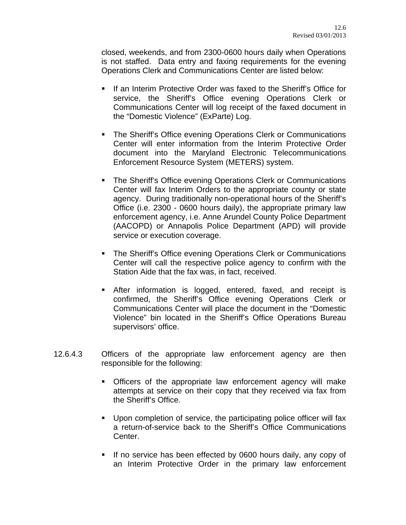closed, weekends, and from 2300-0600 hours daily when Operations is not staffed. Data entry and faxing requirements for the evening Operations Clerk and Communications Center are listed below:

- **If an Interim Protective Order was faxed to the Sheriff's Office for** service, the Sheriff's Office evening Operations Clerk or Communications Center will log receipt of the faxed document in the "Domestic Violence" (ExParte) Log.
- **The Sheriff's Office evening Operations Clerk or Communications** Center will enter information from the Interim Protective Order document into the Maryland Electronic Telecommunications Enforcement Resource System (METERS) system.
- The Sheriff's Office evening Operations Clerk or Communications Center will fax Interim Orders to the appropriate county or state agency. During traditionally non-operational hours of the Sheriff's Office (i.e. 2300 - 0600 hours daily), the appropriate primary law enforcement agency, i.e. Anne Arundel County Police Department (AACOPD) or Annapolis Police Department (APD) will provide service or execution coverage.
- **The Sheriff's Office evening Operations Clerk or Communications** Center will call the respective police agency to confirm with the Station Aide that the fax was, in fact, received.
- After information is logged, entered, faxed, and receipt is confirmed, the Sheriff's Office evening Operations Clerk or Communications Center will place the document in the "Domestic Violence" bin located in the Sheriff's Office Operations Bureau supervisors' office.
- 12.6.4.3 Officers of the appropriate law enforcement agency are then responsible for the following:
	- Officers of the appropriate law enforcement agency will make attempts at service on their copy that they received via fax from the Sheriff's Office.
	- Upon completion of service, the participating police officer will fax a return-of-service back to the Sheriff's Office Communications Center.
	- If no service has been effected by 0600 hours daily, any copy of an Interim Protective Order in the primary law enforcement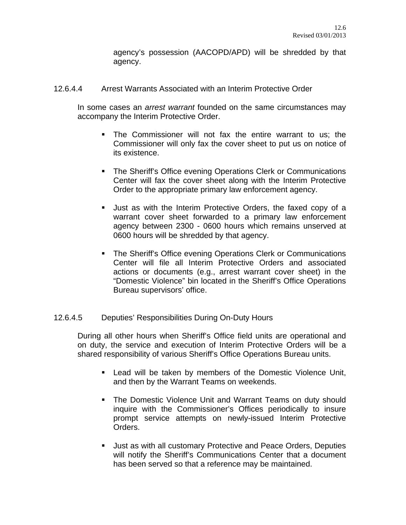agency's possession (AACOPD/APD) will be shredded by that agency.

12.6.4.4 Arrest Warrants Associated with an Interim Protective Order

In some cases an *arrest warrant* founded on the same circumstances may accompany the Interim Protective Order.

- The Commissioner will not fax the entire warrant to us; the Commissioner will only fax the cover sheet to put us on notice of its existence.
- **The Sheriff's Office evening Operations Clerk or Communications** Center will fax the cover sheet along with the Interim Protective Order to the appropriate primary law enforcement agency.
- Just as with the Interim Protective Orders, the faxed copy of a warrant cover sheet forwarded to a primary law enforcement agency between 2300 - 0600 hours which remains unserved at 0600 hours will be shredded by that agency.
- **The Sheriff's Office evening Operations Clerk or Communications** Center will file all Interim Protective Orders and associated actions or documents (e.g., arrest warrant cover sheet) in the "Domestic Violence" bin located in the Sheriff's Office Operations Bureau supervisors' office.

# 12.6.4.5 Deputies' Responsibilities During On-Duty Hours

During all other hours when Sheriff's Office field units are operational and on duty, the service and execution of Interim Protective Orders will be a shared responsibility of various Sheriff's Office Operations Bureau units.

- Lead will be taken by members of the Domestic Violence Unit, and then by the Warrant Teams on weekends.
- The Domestic Violence Unit and Warrant Teams on duty should inquire with the Commissioner's Offices periodically to insure prompt service attempts on newly-issued Interim Protective Orders.
- Just as with all customary Protective and Peace Orders, Deputies will notify the Sheriff's Communications Center that a document has been served so that a reference may be maintained.